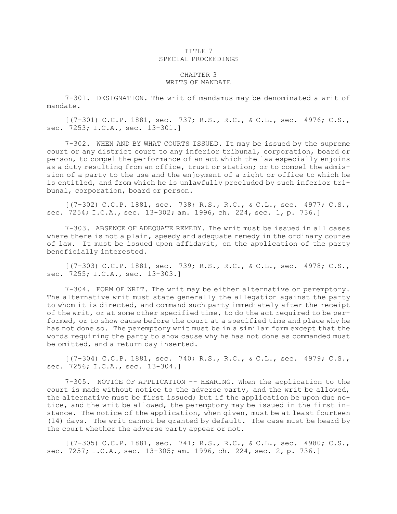## TITLE 7 SPECIAL PROCEEDINGS

## CHAPTER 3 WRITS OF MANDATE

7-301. DESIGNATION. The writ of mandamus may be denominated <sup>a</sup> writ of mandate.

[(7-301) C.C.P. 1881, sec. 737; R.S., R.C., & C.L., sec. 4976; C.S., sec. 7253; I.C.A., sec. 13-301.]

7-302. WHEN AND BY WHAT COURTS ISSUED. It may be issued by the supreme court or any district court to any inferior tribunal, corporation, board or person, to compel the performance of an act which the law especially enjoins as <sup>a</sup> duty resulting from an office, trust or station; or to compel the admission of <sup>a</sup> party to the use and the enjoyment of <sup>a</sup> right or office to which he is entitled, and from which he is unlawfully precluded by such inferior tribunal, corporation, board or person.

[(7-302) C.C.P. 1881, sec. 738; R.S., R.C., & C.L., sec. 4977; C.S., sec. 7254; I.C.A., sec. 13-302; am. 1996, ch. 224, sec. 1, p. 736.]

7-303. ABSENCE OF ADEQUATE REMEDY. The writ must be issued in all cases where there is not a plain, speedy and adequate remedy in the ordinary course of law. It must be issued upon affidavit, on the application of the party beneficially interested.

[(7-303) C.C.P. 1881, sec. 739; R.S., R.C., & C.L., sec. 4978; C.S., sec. 7255; I.C.A., sec. 13-303.]

7-304. FORM OF WRIT. The writ may be either alternative or peremptory. The alternative writ must state generally the allegation against the party to whom it is directed, and command such party immediately after the receipt of the writ, or at some other specified time, to do the act required to be performed, or to show cause before the court at <sup>a</sup> specified time and place why he has not done so. The peremptory writ must be in <sup>a</sup> similar form except that the words requiring the party to show cause why he has not done as commanded must be omitted, and <sup>a</sup> return day inserted.

[(7-304) C.C.P. 1881, sec. 740; R.S., R.C., & C.L., sec. 4979; C.S., sec. 7256; I.C.A., sec. 13-304.]

7-305. NOTICE OF APPLICATION -- HEARING. When the application to the court is made without notice to the adverse party, and the writ be allowed, the alternative must be first issued; but if the application be upon due notice, and the writ be allowed, the peremptory may be issued in the first instance. The notice of the application, when given, must be at least fourteen (14) days. The writ cannot be granted by default. The case must be heard by the court whether the adverse party appear or not.

[(7-305) C.C.P. 1881, sec. 741; R.S., R.C., & C.L., sec. 4980; C.S., sec. 7257; I.C.A., sec. 13-305; am. 1996, ch. 224, sec. 2, p. 736.]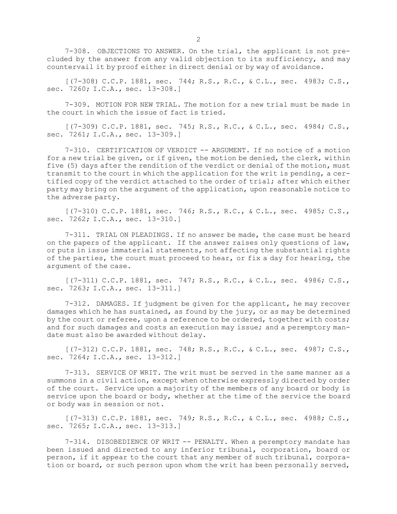7-308. OBJECTIONS TO ANSWER. On the trial, the applicant is not precluded by the answer from any valid objection to its sufficiency, and may countervail it by proof either in direct denial or by way of avoidance.

[(7-308) C.C.P. 1881, sec. 744; R.S., R.C., & C.L., sec. 4983; C.S., sec. 7260; I.C.A., sec. 13-308.]

7-309. MOTION FOR NEW TRIAL. The motion for <sup>a</sup> new trial must be made in the court in which the issue of fact is tried.

[(7-309) C.C.P. 1881, sec. 745; R.S., R.C., & C.L., sec. 4984; C.S., sec. 7261; I.C.A., sec. 13-309.]

7-310. CERTIFICATION OF VERDICT -- ARGUMENT. If no notice of <sup>a</sup> motion for <sup>a</sup> new trial be given, or if given, the motion be denied, the clerk, within five (5) days after the rendition of the verdict or denial of the motion, must transmit to the court in which the application for the writ is pending, <sup>a</sup> certified copy of the verdict attached to the order of trial; after which either party may bring on the argument of the application, upon reasonable notice to the adverse party.

[(7-310) C.C.P. 1881, sec. 746; R.S., R.C., & C.L., sec. 4985; C.S., sec. 7262; I.C.A., sec. 13-310.]

7-311. TRIAL ON PLEADINGS. If no answer be made, the case must be heard on the papers of the applicant. If the answer raises only questions of law, or puts in issue immaterial statements, not affecting the substantial rights of the parties, the court must proceed to hear, or fix <sup>a</sup> day for hearing, the argument of the case.

[(7-311) C.C.P. 1881, sec. 747; R.S., R.C., & C.L., sec. 4986; C.S., sec. 7263; I.C.A., sec. 13-311.]

7-312. DAMAGES. If judgment be given for the applicant, he may recover damages which he has sustained, as found by the jury, or as may be determined by the court or referee, upon <sup>a</sup> reference to be ordered, together with costs; and for such damages and costs an execution may issue; and <sup>a</sup> peremptory mandate must also be awarded without delay.

[(7-312) C.C.P. 1881, sec. 748; R.S., R.C., & C.L., sec. 4987; C.S., sec. 7264; I.C.A., sec. 13-312.]

7-313. SERVICE OF WRIT. The writ must be served in the same manner as <sup>a</sup> summons in <sup>a</sup> civil action, except when otherwise expressly directed by order of the court. Service upon <sup>a</sup> majority of the members of any board or body is service upon the board or body, whether at the time of the service the board or body was in session or not.

[(7-313) C.C.P. 1881, sec. 749; R.S., R.C., & C.L., sec. 4988; C.S., sec. 7265; I.C.A., sec. 13-313.]

7-314. DISOBEDIENCE OF WRIT -- PENALTY. When <sup>a</sup> peremptory mandate has been issued and directed to any inferior tribunal, corporation, board or person, if it appear to the court that any member of such tribunal, corporation or board, or such person upon whom the writ has been personally served,